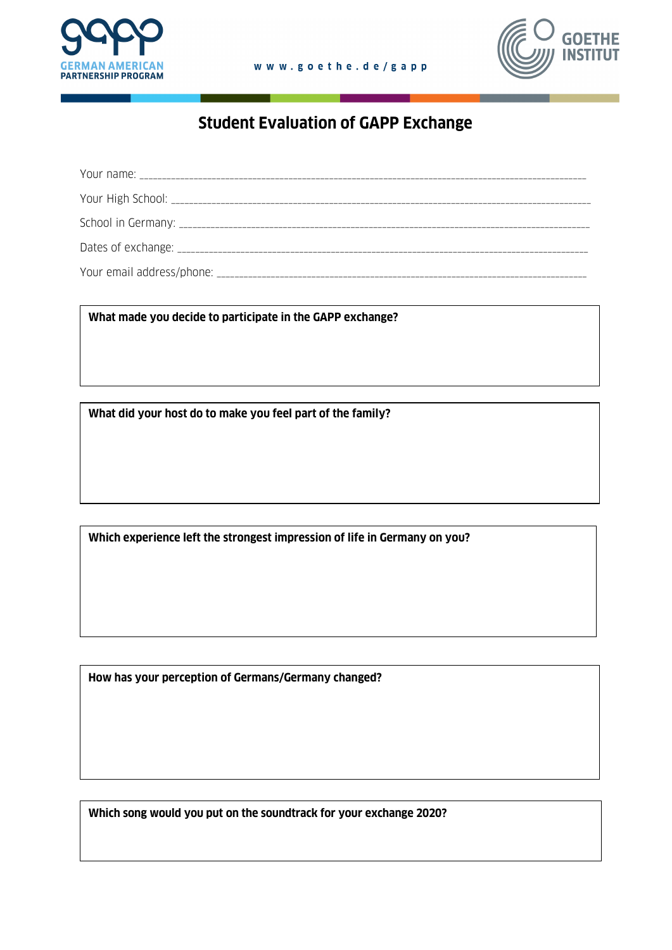



## **Student Evaluation of GAPP Exchange**

**What made you decide to participate in the GAPP exchange?**

**What did your host do to make you feel part of the family?**

**Which experience left the strongest impression of life in Germany on you?**

**How has your perception of Germans/Germany changed?**

**Which song would you put on the soundtrack for your exchange 2020?**